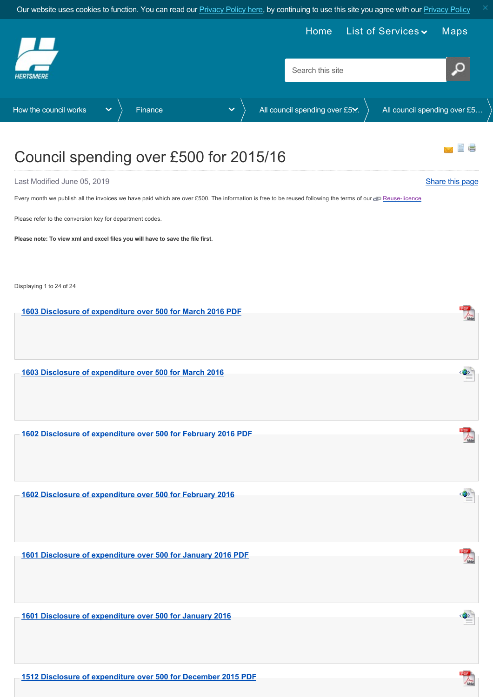<span id="page-0-0"></span>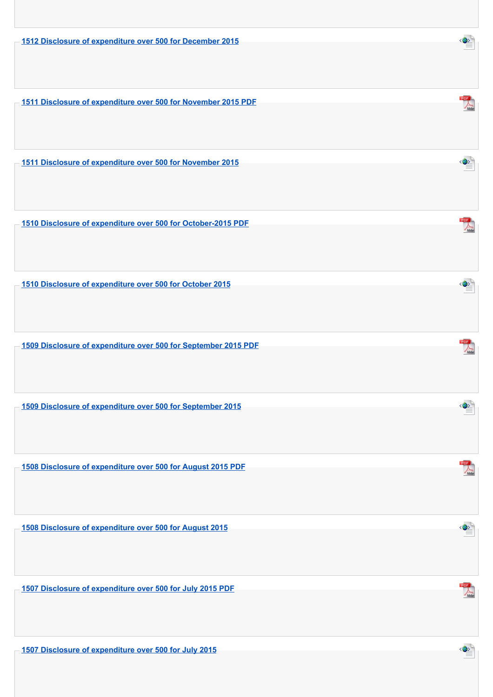**[1512 Disclosure of expenditure over 500 for December 2015](https://www.hertsmere.gov.uk/Documents/11-Your-Council/How-the-council-works/Finance/Disclosure-of-Expenditure-over-500/2015-16/1512-Disclosure-of-expenditure-over-500-for-December-2015.xml)**

**[1511 Disclosure of expenditure over 500 for November 2015 PDF](https://www.hertsmere.gov.uk/Documents/11-Your-Council/How-the-council-works/Finance/Disclosure-of-Expenditure-over-500/2015-16/1511-Disclosure-of-expenditure-over-500-for-November-2015-PDF.pdf)**

**[1511 Disclosure of expenditure over 500 for November 2015](https://www.hertsmere.gov.uk/Documents/11-Your-Council/How-the-council-works/Finance/Disclosure-of-Expenditure-over-500/2015-16/1511-Disclosure-of-expenditure-over-500-for-November-2015.xml)**

**[1510 Disclosure of expenditure over 500 for October-2015 PDF](https://www.hertsmere.gov.uk/Documents/11-Your-Council/How-the-council-works/Finance/Disclosure-of-Expenditure-over-500/2015-16/1510-Disclosure-of-expenditure-over-500-for-October-2015-PDF.pdf)**

**[1510 Disclosure of expenditure over 500 for October 2015](https://www.hertsmere.gov.uk/Documents/11-Your-Council/How-the-council-works/Finance/Disclosure-of-Expenditure-over-500/2015-16/1510-Disclosure-of-expenditure-over-500-for-October-2015.xml)**

**[1509 Disclosure of expenditure over 500 for September 2015 PDF](https://www.hertsmere.gov.uk/Documents/11-Your-Council/How-the-council-works/Finance/Disclosure-of-Expenditure-over-500/2015-16/1509-Disclosure-of-expenditure-over-500-for-September-2015-PDF.pdf)**

**[1509 Disclosure of expenditure over 500 for September 2015](https://www.hertsmere.gov.uk/Documents/11-Your-Council/How-the-council-works/Finance/Disclosure-of-Expenditure-over-500/2015-16/1509-Disclosure-of-expenditure-over-500-for-September-2015.xml)**

**[1508 Disclosure of expenditure over 500 for August 2015 PDF](https://www.hertsmere.gov.uk/Documents/11-Your-Council/How-the-council-works/Finance/Disclosure-of-Expenditure-over-500/2015-16/1508-Disclosure-of-expenditure-over-500-for-August-2015-PDF.pdf)**

**[1508 Disclosure of expenditure over 500 for August 2015](https://www.hertsmere.gov.uk/Documents/11-Your-Council/How-the-council-works/Finance/Disclosure-of-Expenditure-over-500/2015-16/1508-Disclosure-of-expenditure-over-500-for-August-2015.xml)**

**[1507 Disclosure of expenditure over 500 for July 2015 PDF](https://www.hertsmere.gov.uk/Documents/11-Your-Council/How-the-council-works/Finance/Disclosure-of-Expenditure-over-500/2015-16/1507-Disclosure-of-expenditure-over-500-for-July-2015-PDF.pdf)**

**[1507 Disclosure of expenditure over 500 for July 2015](https://www.hertsmere.gov.uk/Documents/11-Your-Council/How-the-council-works/Finance/Disclosure-of-Expenditure-over-500/2015-16/1507-Disclosure-of-expenditure-over-500-for-July-2015.xml)**



 $\textcircled{\textbf{3}}$